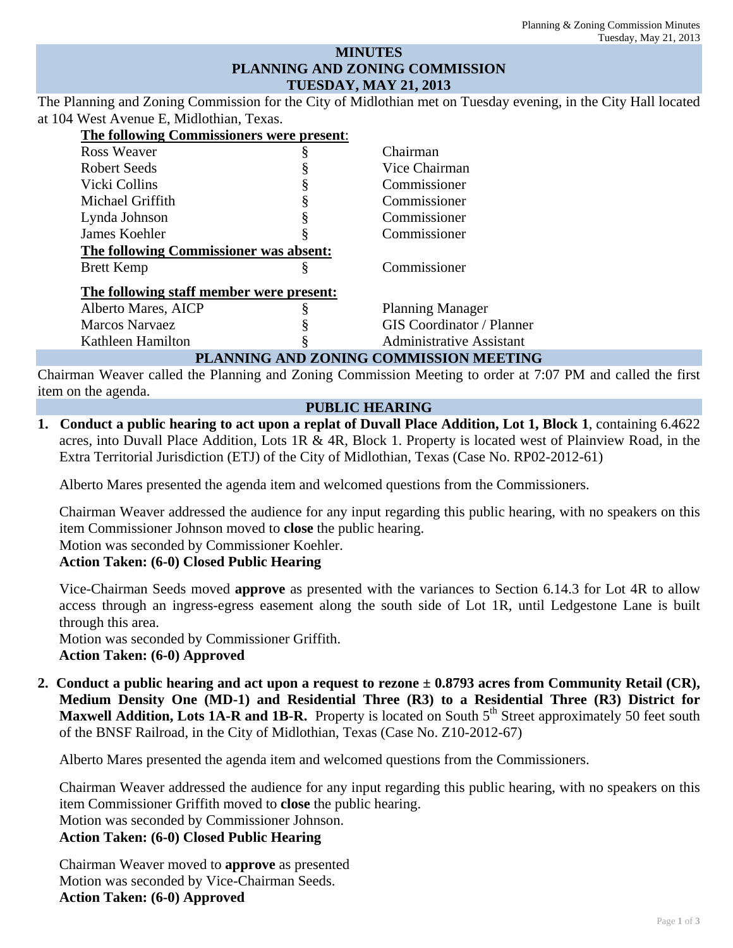## **MINUTES PLANNING AND ZONING COMMISSION TUESDAY, MAY 21, 2013**

The Planning and Zoning Commission for the City of Midlothian met on Tuesday evening, in the City Hall located at 104 West Avenue E, Midlothian, Texas.

| The following Commissioners were present: |   |                                  |  |
|-------------------------------------------|---|----------------------------------|--|
| Ross Weaver                               |   | Chairman                         |  |
| Robert Seeds                              |   | Vice Chairman                    |  |
| Vicki Collins                             |   | Commissioner                     |  |
| Michael Griffith                          |   | Commissioner                     |  |
| Lynda Johnson                             | § | Commissioner                     |  |
| James Koehler                             |   | Commissioner                     |  |
| The following Commissioner was absent:    |   |                                  |  |
| <b>Brett Kemp</b>                         | ş | Commissioner                     |  |
| The following staff member were present:  |   |                                  |  |
| Alberto Mares, AICP                       |   | <b>Planning Manager</b>          |  |
| <b>Marcos Narvaez</b>                     |   | <b>GIS</b> Coordinator / Planner |  |
| Kathleen Hamilton                         |   | <b>Administrative Assistant</b>  |  |
| PLANNING AND ZONING COMMISSION MEETING    |   |                                  |  |

Chairman Weaver called the Planning and Zoning Commission Meeting to order at 7:07 PM and called the first item on the agenda.

#### **PUBLIC HEARING**

**1. Conduct a public hearing to act upon a replat of Duvall Place Addition, Lot 1, Block 1**, containing 6.4622 acres, into Duvall Place Addition, Lots 1R & 4R, Block 1. Property is located west of Plainview Road, in the Extra Territorial Jurisdiction (ETJ) of the City of Midlothian, Texas (Case No. RP02-2012-61)

Alberto Mares presented the agenda item and welcomed questions from the Commissioners.

Chairman Weaver addressed the audience for any input regarding this public hearing, with no speakers on this item Commissioner Johnson moved to **close** the public hearing.

Motion was seconded by Commissioner Koehler.

# **Action Taken: (6-0) Closed Public Hearing**

Vice-Chairman Seeds moved **approve** as presented with the variances to Section 6.14.3 for Lot 4R to allow access through an ingress-egress easement along the south side of Lot 1R, until Ledgestone Lane is built through this area.

Motion was seconded by Commissioner Griffith. **Action Taken: (6-0) Approved** 

**2. Conduct a public hearing and act upon a request to rezone ± 0.8793 acres from Community Retail (CR), Medium Density One (MD-1) and Residential Three (R3) to a Residential Three (R3) District for**  Maxwell Addition, Lots 1A-R and 1B-R. Property is located on South 5<sup>th</sup> Street approximately 50 feet south of the BNSF Railroad, in the City of Midlothian, Texas (Case No. Z10-2012-67)

Alberto Mares presented the agenda item and welcomed questions from the Commissioners.

Chairman Weaver addressed the audience for any input regarding this public hearing, with no speakers on this item Commissioner Griffith moved to **close** the public hearing.

Motion was seconded by Commissioner Johnson.

# **Action Taken: (6-0) Closed Public Hearing**

Chairman Weaver moved to **approve** as presented Motion was seconded by Vice-Chairman Seeds. **Action Taken: (6-0) Approved**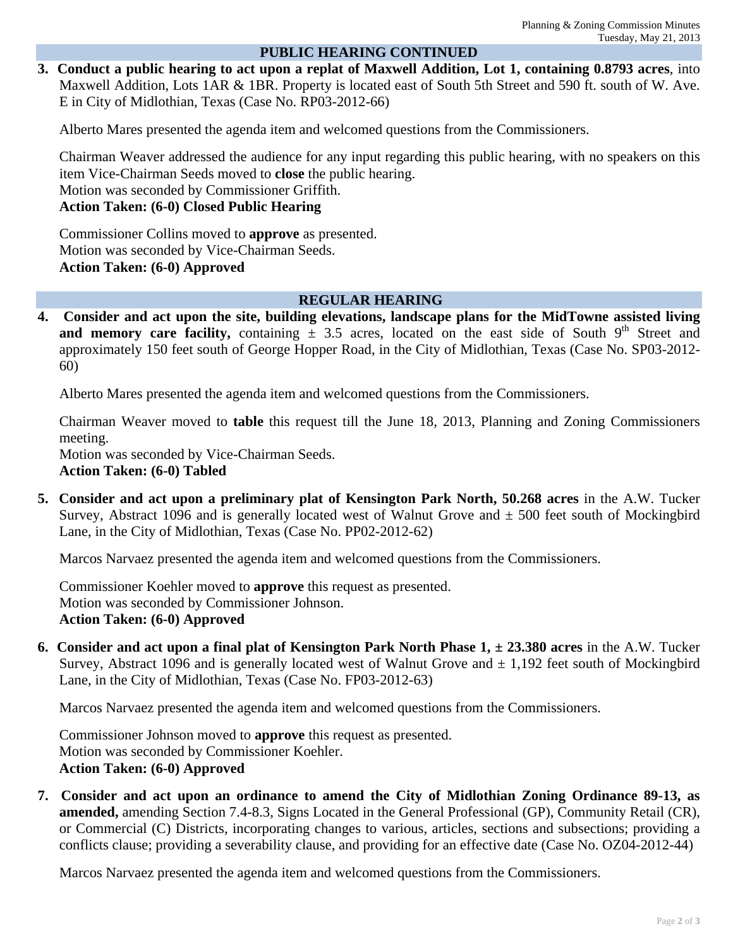## **PUBLIC HEARING CONTINUED**

**3. Conduct a public hearing to act upon a replat of Maxwell Addition, Lot 1, containing 0.8793 acres**, into Maxwell Addition, Lots 1AR & 1BR. Property is located east of South 5th Street and 590 ft. south of W. Ave. E in City of Midlothian, Texas (Case No. RP03-2012-66)

Alberto Mares presented the agenda item and welcomed questions from the Commissioners.

Chairman Weaver addressed the audience for any input regarding this public hearing, with no speakers on this item Vice-Chairman Seeds moved to **close** the public hearing.

Motion was seconded by Commissioner Griffith.

**Action Taken: (6-0) Closed Public Hearing** 

Commissioner Collins moved to **approve** as presented. Motion was seconded by Vice-Chairman Seeds. **Action Taken: (6-0) Approved** 

#### **REGULAR HEARING**

**4. Consider and act upon the site, building elevations, landscape plans for the MidTowne assisted living and memory care facility,** containing  $\pm$  3.5 acres, located on the east side of South 9<sup>th</sup> Street and approximately 150 feet south of George Hopper Road, in the City of Midlothian, Texas (Case No. SP03-2012- 60)

Alberto Mares presented the agenda item and welcomed questions from the Commissioners.

Chairman Weaver moved to **table** this request till the June 18, 2013, Planning and Zoning Commissioners meeting.

Motion was seconded by Vice-Chairman Seeds.

**Action Taken: (6-0) Tabled** 

**5. Consider and act upon a preliminary plat of Kensington Park North, 50.268 acres in the A.W. Tucker** Survey, Abstract 1096 and is generally located west of Walnut Grove and  $\pm$  500 feet south of Mockingbird Lane, in the City of Midlothian, Texas (Case No. PP02-2012-62)

Marcos Narvaez presented the agenda item and welcomed questions from the Commissioners.

Commissioner Koehler moved to **approve** this request as presented. Motion was seconded by Commissioner Johnson. **Action Taken: (6-0) Approved** 

**6. Consider and act upon a final plat of Kensington Park North Phase**  $1, \pm 23.380$  **acres** in the A.W. Tucker Survey, Abstract 1096 and is generally located west of Walnut Grove and  $\pm$  1,192 feet south of Mockingbird Lane, in the City of Midlothian, Texas (Case No. FP03-2012-63)

Marcos Narvaez presented the agenda item and welcomed questions from the Commissioners.

Commissioner Johnson moved to **approve** this request as presented. Motion was seconded by Commissioner Koehler. **Action Taken: (6-0) Approved** 

**7. Consider and act upon an ordinance to amend the City of Midlothian Zoning Ordinance 89-13, as amended,** amending Section 7.4-8.3, Signs Located in the General Professional (GP), Community Retail (CR), or Commercial (C) Districts, incorporating changes to various, articles, sections and subsections; providing a conflicts clause; providing a severability clause, and providing for an effective date (Case No. OZ04-2012-44)

Marcos Narvaez presented the agenda item and welcomed questions from the Commissioners.